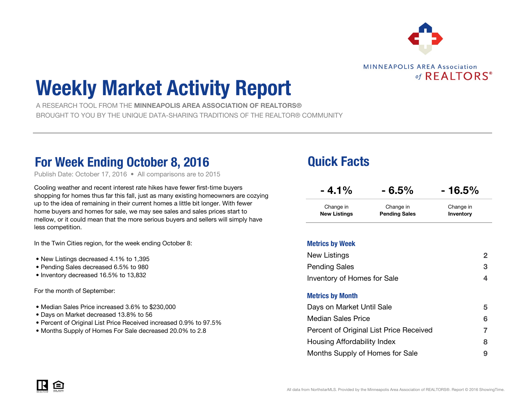

**MINNEAPOLIS AREA Association** of  $REALTORS<sup>®</sup>$ 

# Weekly Market Activity Report

 A RESEARCH TOOL FROM THE MINNEAPOLIS AREA ASSOCIATION OF REALTORS®BROUGHT TO YOU BY THE UNIQUE DATA-SHARING TRADITIONS OF THE REALTOR® COMMUNITY

### For Week Ending October 8, 2016 **Details Access** Cuick Facts

Publish Date: October 17, 2016 • All comparisons are to 2015

Cooling weather and recent interest rate hikes have fewer first-time buyers shopping for homes thus far this fall, just as many existing homeowners are cozying up to the idea of remaining in their current homes a little bit longer. With fewer home buyers and homes for sale, we may see sales and sales prices start to mellow, or it could mean that the more serious buyers and sellers will simply have less competition.

In the Twin Cities region, for the week ending October 8:

- New Listings decreased 4.1% to 1,395
- Pending Sales decreased 6.5% to 980
- Inventory decreased 16.5% to 13,832

For the month of September:

- Median Sales Price increased 3.6% to \$230,000
- Days on Market decreased 13.8% to 56
- Percent of Original List Price Received increased 0.9% to 97.5%
- Months Supply of Homes For Sale decreased 20.0% to 2.8

| $-4.1\%$            | $-6.5%$              | $-16.5%$  |
|---------------------|----------------------|-----------|
| Change in           | Change in            | Change in |
| <b>New Listings</b> | <b>Pending Sales</b> | Inventory |

#### Metrics by Week

| New Listings                            | 2 |
|-----------------------------------------|---|
| <b>Pending Sales</b>                    | 3 |
| Inventory of Homes for Sale             | 4 |
| <b>Metrics by Month</b>                 |   |
| Days on Market Until Sale               | 5 |
| <b>Median Sales Price</b>               | 6 |
| Percent of Original List Price Received | 7 |
| Housing Affordability Index             | 8 |
| Months Supply of Homes for Sale         | 9 |

IR E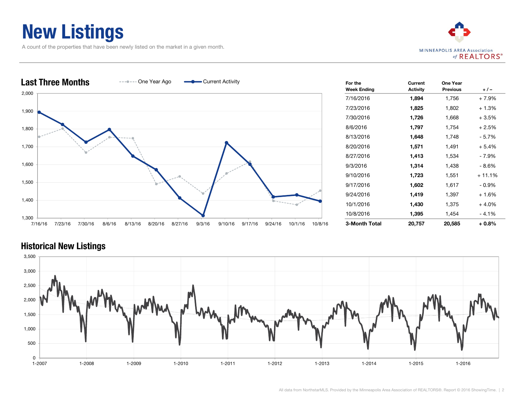### New Listings

A count of the properties that have been newly listed on the market in a given month.





| For the<br><b>Week Ending</b> | Current<br><b>Activity</b> | One Year<br><b>Previous</b> | $+1-$    |
|-------------------------------|----------------------------|-----------------------------|----------|
| 7/16/2016                     | 1,894                      | 1,756                       | + 7.9%   |
| 7/23/2016                     | 1,825                      | 1,802                       | $+1.3%$  |
| 7/30/2016                     | 1,726                      | 1,668                       | $+3.5%$  |
| 8/6/2016                      | 1,797                      | 1,754                       | $+2.5%$  |
| 8/13/2016                     | 1,648                      | 1,748                       | - 5.7%   |
| 8/20/2016                     | 1,571                      | 1,491                       | $+5.4%$  |
| 8/27/2016                     | 1,413                      | 1,534                       | - 7.9%   |
| 9/3/2016                      | 1,314                      | 1,438                       | $-8.6%$  |
| 9/10/2016                     | 1,723                      | 1,551                       | + 11.1%  |
| 9/17/2016                     | 1,602                      | 1,617                       | - 0.9%   |
| 9/24/2016                     | 1,419                      | 1,397                       | $+1.6%$  |
| 10/1/2016                     | 1,430                      | 1,375                       | $+4.0%$  |
| 10/8/2016                     | 1,395                      | 1,454                       | - 4.1%   |
| 3-Month Total                 | 20,757                     | 20,585                      | $+0.8\%$ |

#### Historical New Listings

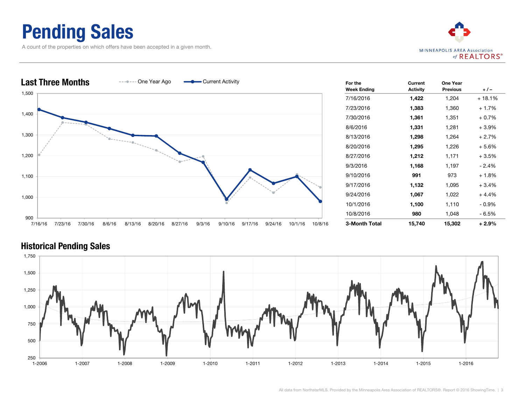### Pending Sales

A count of the properties on which offers have been accepted in a given month.





| For the            | Current         | One Year        |          |
|--------------------|-----------------|-----------------|----------|
| <b>Week Ending</b> | <b>Activity</b> | <b>Previous</b> | $+/-$    |
| 7/16/2016          | 1,422           | 1,204           | + 18.1%  |
| 7/23/2016          | 1,383           | 1,360           | $+1.7%$  |
| 7/30/2016          | 1,361           | 1,351           | $+0.7%$  |
| 8/6/2016           | 1,331           | 1,281           | $+3.9\%$ |
| 8/13/2016          | 1,298           | 1,264           | $+2.7%$  |
| 8/20/2016          | 1,295           | 1,226           | $+5.6%$  |
| 8/27/2016          | 1,212           | 1,171           | $+3.5%$  |
| 9/3/2016           | 1,168           | 1,197           | $-2.4%$  |
| 9/10/2016          | 991             | 973             | $+1.8%$  |
| 9/17/2016          | 1,132           | 1,095           | $+3.4%$  |
| 9/24/2016          | 1,067           | 1,022           | $+4.4%$  |
| 10/1/2016          | 1,100           | 1,110           | - 0.9%   |
| 10/8/2016          | 980             | 1,048           | - 6.5%   |
| 3-Month Total      | 15,740          | 15,302          | + 2.9%   |

#### Historical Pending Sales

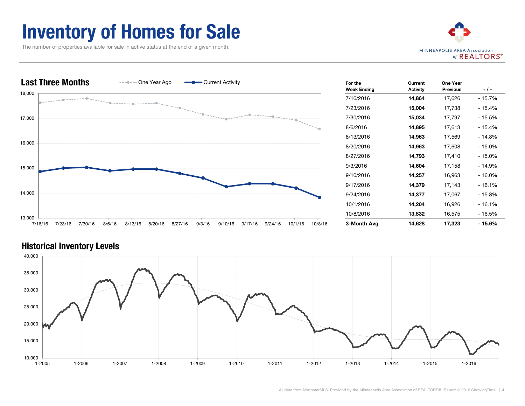### Inventory of Homes for Sale

The number of properties available for sale in active status at the end of a given month.





| For the<br><b>Week Ending</b> | Current<br><b>Activity</b> | One Year<br><b>Previous</b> | $+/-$     |
|-------------------------------|----------------------------|-----------------------------|-----------|
| 7/16/2016                     | 14,864                     | 17,626                      | - 15.7%   |
| 7/23/2016                     | 15,004                     | 17,738                      | - 15.4%   |
| 7/30/2016                     | 15,034                     | 17,797                      | - 15.5%   |
| 8/6/2016                      | 14,895                     | 17,613                      | - 15.4%   |
| 8/13/2016                     | 14,963                     | 17,569                      | - 14.8%   |
| 8/20/2016                     | 14,963                     | 17,608                      | $-15.0\%$ |
| 8/27/2016                     | 14,793                     | 17,410                      | $-15.0\%$ |
| 9/3/2016                      | 14,604                     | 17,158                      | - 14.9%   |
| 9/10/2016                     | 14,257                     | 16,963                      | $-16.0%$  |
| 9/17/2016                     | 14,379                     | 17,143                      | $-16.1%$  |
| 9/24/2016                     | 14,377                     | 17,067                      | $-15.8%$  |
| 10/1/2016                     | 14,204                     | 16,926                      | $-16.1%$  |
| 10/8/2016                     | 13,832                     | 16,575                      | - 16.5%   |
| 3-Month Avg                   | 14,628                     | 17,323                      | - 15.6%   |

#### Historical Inventory Levels

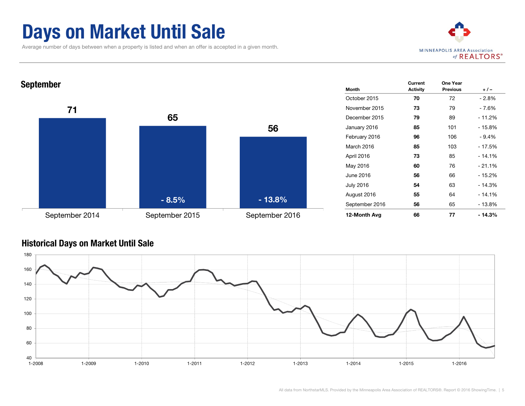### Days on Market Until Sale

Average number of days between when a property is listed and when an offer is accepted in a given month.





#### Historical Days on Market Until Sale

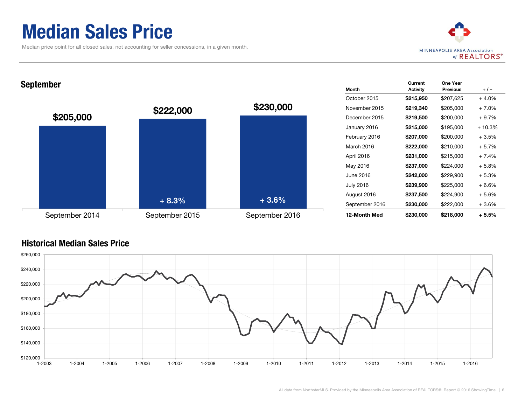### Median Sales Price

Median price point for all closed sales, not accounting for seller concessions, in a given month.



#### September

Historical Median Sales Price



| Month            | Current<br><b>Activity</b> | One Year<br><b>Previous</b> | $+/-$    |
|------------------|----------------------------|-----------------------------|----------|
| October 2015     | \$215,950                  | \$207,625                   | $+4.0%$  |
| November 2015    | \$219,340                  | \$205,000                   | $+7.0%$  |
| December 2015    | \$219,500                  | \$200,000                   | $+9.7%$  |
| January 2016     | \$215,000                  | \$195,000                   | $+10.3%$ |
| February 2016    | \$207,000                  | \$200,000                   | $+3.5%$  |
| March 2016       | \$222,000                  | \$210,000                   | $+5.7%$  |
| April 2016       | \$231,000                  | \$215,000                   | $+7.4%$  |
| May 2016         | \$237,000                  | \$224,000                   | $+5.8%$  |
| June 2016        | \$242,000                  | \$229,900                   | $+5.3%$  |
| <b>July 2016</b> | \$239,900                  | \$225,000                   | $+6.6%$  |
| August 2016      | \$237,500                  | \$224,900                   | $+5.6%$  |
| September 2016   | \$230,000                  | \$222,000                   | +3.6%    |
| 12-Month Med     | \$230,000                  | \$218,000                   | + 5.5%   |

### \$200,000 \$220,000 \$240,000 \$260,000

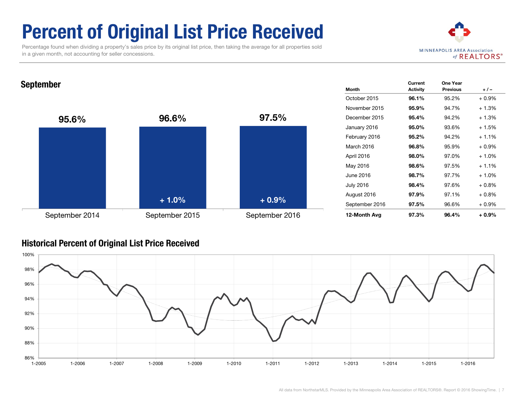## Percent of Original List Price Received

 Percentage found when dividing a property's sales price by its original list price, then taking the average for all properties sold in a given month, not accounting for seller concessions.



### **September Month Advisory Control of the Control of Control of the Control of Control of Control of Control of Control of Control of Control of Control of Control of Control of Control of Control of Control of Control of C**



| <b>Month</b>     | Current<br><b>Activity</b> | One Year<br><b>Previous</b> | $+/-$    |
|------------------|----------------------------|-----------------------------|----------|
| October 2015     | 96.1%                      | 95.2%                       | $+0.9\%$ |
| November 2015    | 95.9%                      | 94.7%                       | $+1.3%$  |
| December 2015    | 95.4%                      | 94.2%                       | $+1.3%$  |
| January 2016     | 95.0%                      | 93.6%                       | $+1.5%$  |
| February 2016    | 95.2%                      | 94.2%                       | $+1.1%$  |
| March 2016       | 96.8%                      | 95.9%                       | $+0.9\%$ |
| April 2016       | 98.0%                      | 97.0%                       | $+1.0%$  |
| May 2016         | 98.6%                      | 97.5%                       | $+1.1%$  |
| June 2016        | 98.7%                      | 97.7%                       | $+1.0%$  |
| <b>July 2016</b> | 98.4%                      | 97.6%                       | $+0.8\%$ |
| August 2016      | 97.9%                      | 97.1%                       | $+0.8\%$ |
| September 2016   | 97.5%                      | 96.6%                       | + 0.9%   |
| 12-Month Avg     | 97.3%                      | 96.4%                       | + 0.9%   |

### Historical Percent of Original List Price Received

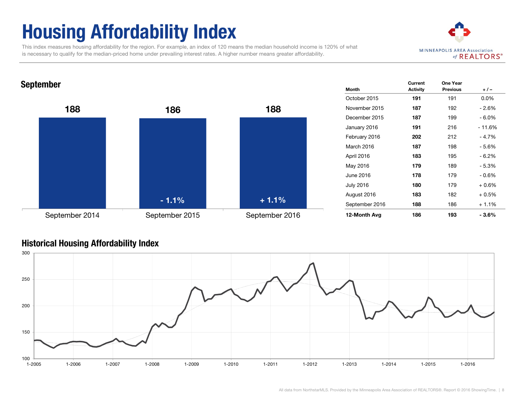# Housing Affordability Index

 This index measures housing affordability for the region. For example, an index of 120 means the median household income is 120% of what is necessary to qualify for the median-priced home under prevailing interest rates. A higher number means greater affordability.



### **September Month Advisory Control of the Control of Control of the Control of Control of Control of Control of Control of Control of Control of Control of Control of Control of Control of Control of Control of Control of C**



| Month            | Current<br><b>Activity</b> | One Year<br><b>Previous</b> | $+/-$    |
|------------------|----------------------------|-----------------------------|----------|
| October 2015     | 191                        | 191                         | $0.0\%$  |
| November 2015    | 187                        | 192                         | - 2.6%   |
| December 2015    | 187                        | 199                         | $-6.0%$  |
| January 2016     | 191                        | 216                         | - 11.6%  |
| February 2016    | 202                        | 212                         | $-4.7%$  |
| March 2016       | 187                        | 198                         | - 5.6%   |
| April 2016       | 183                        | 195                         | - 6.2%   |
| May 2016         | 179                        | 189                         | $-5.3%$  |
| June 2016        | 178                        | 179                         | $-0.6\%$ |
| <b>July 2016</b> | 180                        | 179                         | $+0.6%$  |
| August 2016      | 183                        | 182                         | $+0.5%$  |
| September 2016   | 188                        | 186                         | $+1.1%$  |
| 12-Month Avg     | 186                        | 193                         | - 3.6%   |

#### Historical Housing Affordability Index